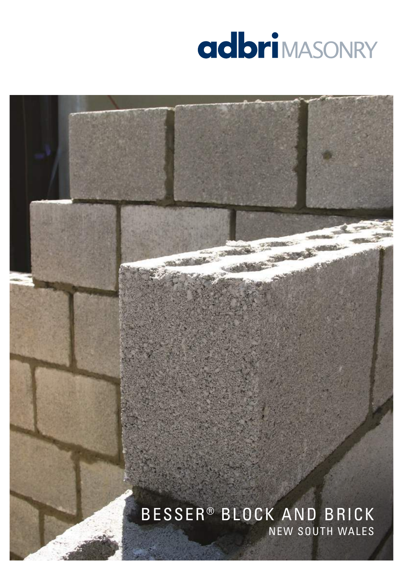

# NEW SOUTH WALES BESSER® BLOCK AND BRICK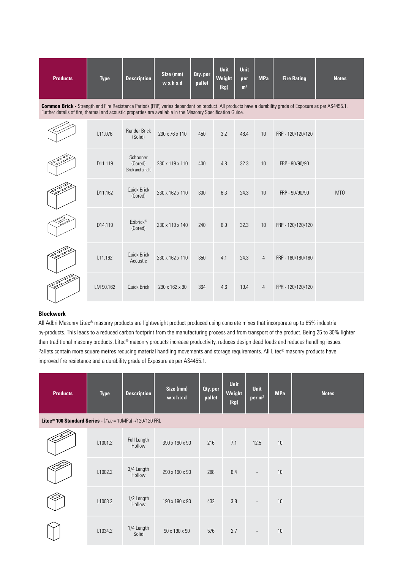| <b>Products</b> | <b>Type</b>                                                                                                                                                                                                                                                                   | <b>Description</b>                        | Size (mm)<br>wxhxd | <b>Qty.</b> per<br>pallet | <b>Unit</b><br>Weight<br>(kq) | <b>Unit</b><br>per<br>m <sup>2</sup> | <b>MPa</b>     | <b>Fire Rating</b> | <b>Notes</b>     |
|-----------------|-------------------------------------------------------------------------------------------------------------------------------------------------------------------------------------------------------------------------------------------------------------------------------|-------------------------------------------|--------------------|---------------------------|-------------------------------|--------------------------------------|----------------|--------------------|------------------|
|                 | <b>Common Brick -</b> Strength and Fire Resistance Periods (FRP) varies dependant on product. All products have a durability grade of Exposure as per AS4455.1.<br>Further details of fire, thermal and acoustic properties are available in the Masonry Specification Guide. |                                           |                    |                           |                               |                                      |                |                    |                  |
|                 | L11.076                                                                                                                                                                                                                                                                       | <b>Render Brick</b><br>(Solid)            | 230 x 76 x 110     | 450                       | 3.2                           | 48.4                                 | 10             | FRP - 120/120/120  |                  |
|                 | D11.119                                                                                                                                                                                                                                                                       | Schooner<br>(Cored)<br>(Brick and a half) | 230 x 119 x 110    | 400                       | 4.8                           | 32.3                                 | 10             | FRP - 90/90/90     |                  |
|                 | D11.162                                                                                                                                                                                                                                                                       | Quick Brick<br>(Cored)                    | 230 x 162 x 110    | 300                       | 6.3                           | 24.3                                 | 10             | FRP - 90/90/90     | M <sub>T</sub> O |
|                 | D14.119                                                                                                                                                                                                                                                                       | Ezibrick <sup>®</sup><br>(Cored)          | 230 x 119 x 140    | 240                       | 6.9                           | 32.3                                 | 10             | FRP - 120/120/120  |                  |
|                 | L11.162                                                                                                                                                                                                                                                                       | <b>Quick Brick</b><br>Acoustic            | 230 x 162 x 110    | 350                       | 4.1                           | 24.3                                 | $\overline{4}$ | FRP - 180/180/180  |                  |
|                 | LM 90.162                                                                                                                                                                                                                                                                     | Quick Brick                               | 290 x 162 x 90     | 364                       | 4.6                           | 19.4                                 | $\overline{4}$ | FPR - 120/120/120  |                  |

### **Blockwork**

All Adbri Masonry Litec® masonry products are lightweight product produced using concrete mixes that incorporate up to 85% industrial by-products. This leads to a reduced carbon footprint from the manufacturing process and from transport of the product. Being 25 to 30% lighter than traditional masonry products, Litec® masonry products increase productivity, reduces design dead loads and reduces handling issues. Pallets contain more square metres reducing material handling movements and storage requirements. All Litec® masonry products have improved fire resistance and a durability grade of Exposure as per AS4455.1.

| <b>Products</b>                                                        | <b>Type</b> | <b>Description</b>    | Size (mm)<br>wxhxd | Oty. per<br>pallet | Unit<br>Weight<br>(kg) | <b>Unit</b><br>per m <sup>2</sup> | <b>MPa</b> | <b>Notes</b> |
|------------------------------------------------------------------------|-------------|-----------------------|--------------------|--------------------|------------------------|-----------------------------------|------------|--------------|
| Litec <sup>®</sup> 100 Standard Series - $(f'uc = 10MPa) -120/120$ FRL |             |                       |                    |                    |                        |                                   |            |              |
|                                                                        | L1001.2     | Full Length<br>Hollow | 390 x 190 x 90     | 216                | 7.1                    | 12.5                              | 10         |              |
|                                                                        | L1002.2     | 3/4 Length<br>Hollow  | 290 x 190 x 90     | 288                | 6.4                    | $\overline{\phantom{a}}$          | 10         |              |
|                                                                        | L1003.2     | 1/2 Length<br>Hollow  | 190 x 190 x 90     | 432                | 3.8                    | $\overline{\phantom{a}}$          | 10         |              |
|                                                                        | L1034.2     | 1/4 Length<br>Solid   | 90 x 190 x 90      | 576                | 2.7                    | $\overline{\phantom{a}}$          | 10         |              |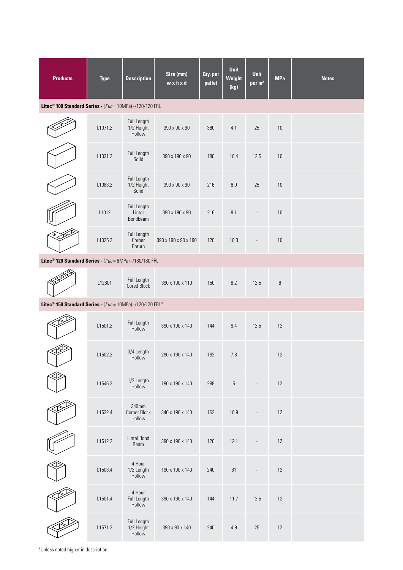| <b>Products</b>                                                                      | <b>Type</b> | <b>Description</b>                  | Size (mm)<br>wxhxd   | Oty. per<br>pallet | Unit<br>Weight<br>(kg) | <b>Unit</b><br>per m <sup>2</sup> | <b>MPa</b> | <b>Notes</b> |
|--------------------------------------------------------------------------------------|-------------|-------------------------------------|----------------------|--------------------|------------------------|-----------------------------------|------------|--------------|
| Litec <sup>®</sup> 100 Standard Series - $(f'uc = 10MPa) -/120/120$ FRL              |             |                                     |                      |                    |                        |                                   |            |              |
|                                                                                      | L1071.2     | Full Length<br>1/2 Height<br>Hollow | 390 x 90 x 90        | 360                | 4.1                    | 25                                | $10$       |              |
|                                                                                      | L1031.2     | Full Length<br>Solid                | 390 x 190 x 90       | 180                | 10.4                   | 12.5                              | 10         |              |
|                                                                                      | L1083.2     | Full Length<br>1/2 Height<br>Solid  | 390 x 90 x 90        | 216                | $6.0\,$                | 25                                | 10         |              |
|                                                                                      | L1012       | Full Length<br>Lintel<br>Bondbeam   | 390 x 190 x 90       | 216                | 9.1                    | $\overline{a}$                    | $10$       |              |
|                                                                                      | L1025.2     | Full Length<br>Corner<br>Return     | 390 x 190 x 90 x 190 | 120                | 10.3                   |                                   | 10         |              |
| Litec <sup>®</sup> 120 Standard Series - (f'uc = 6MPa) -/180/180 FRL                 |             |                                     |                      |                    |                        |                                   |            |              |
|                                                                                      | L12801      | Full Length<br><b>Cored Block</b>   | 390 x 190 x 110      | 150                | 8.2                    | 12.5                              | $\,6\,$    |              |
| Litec <sup>®</sup> 150 Standard Series - $(f'uc = 10MPa)$ -/120/120 FRL <sup>*</sup> |             |                                     |                      |                    |                        |                                   |            |              |
|                                                                                      | L1501.2     | Full Length<br>Hollow               | 390 x 190 x 140      | 144                | 9.4                    | 12.5                              | 12         |              |
|                                                                                      | L1502.2     | 3/4 Length<br>Hollow                | 290 x 190 x 140      | 192                | 7.8                    | $\overline{\phantom{a}}$          | 12         |              |
|                                                                                      | L1546.2     | 1/2 Length<br>Hollow                | 190 x 190 x 140      | 288                | 5                      | $\overline{\phantom{a}}$          | 12         |              |
|                                                                                      | L1522.4     | 340mm<br>Corner Block<br>Hollow     | 340 x 190 x 140      | 162                | 10.9                   |                                   | 12         |              |
|                                                                                      | L1512.2     | Lintel Bond<br>Beam                 | 390 x 190 x 140      | 120                | 12.1                   | L,                                | 12         |              |
|                                                                                      | L1503.4     | 4 Hour<br>1/2 Length<br>Hollow      | 190 x 190 x 140      | 240                | 61                     |                                   | 12         |              |
|                                                                                      | L1501.4     | 4 Hour<br>Full Length<br>Hollow     | 390 x 190 x 140      | 144                | 11.7                   | 12.5                              | 12         |              |
|                                                                                      | L1571.2     | Full Length<br>1/2 Height<br>Hollow | 390 x 90 x 140       | 240                | 4.9                    | 25                                | $12\,$     |              |

\*Unless noted higher in description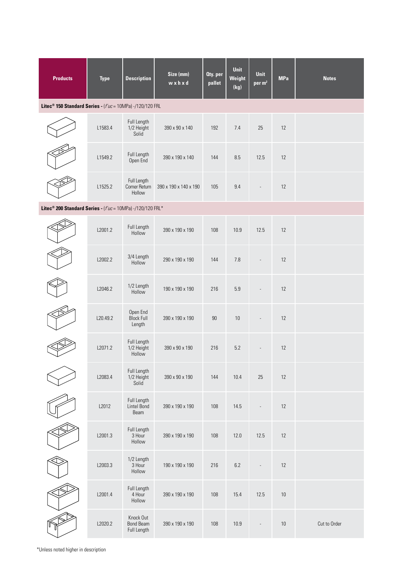| <b>Products</b>                                                          | <b>Type</b> | <b>Description</b>                           | Size (mm)<br>wxhxd    | Oty. per<br>pallet | <b>Unit</b><br>Weight<br>(kg) | <b>Unit</b><br>per m <sup>2</sup> | <b>MPa</b> | <b>Notes</b> |
|--------------------------------------------------------------------------|-------------|----------------------------------------------|-----------------------|--------------------|-------------------------------|-----------------------------------|------------|--------------|
| Litec <sup>®</sup> 150 Standard Series - (f'uc = 10MPa) -/120/120 FRL    |             |                                              |                       |                    |                               |                                   |            |              |
|                                                                          | L1583.4     | Full Length<br>1/2 Height<br>Solid           | 390 x 90 x 140        | 192                | 7.4                           | 25                                | 12         |              |
|                                                                          | L1549.2     | Full Length<br>Open End                      | 390 x 190 x 140       | 144                | 8.5                           | 12.5                              | 12         |              |
|                                                                          | L1525.2     | Full Length<br>Corner Return<br>Hollow       | 390 x 190 x 140 x 190 | 105                | 9.4                           |                                   | 12         |              |
| Litec <sup>®</sup> 200 Standard Series - $(f'uc = 10MPa)$ -/120/120 FRL* |             |                                              |                       |                    |                               |                                   |            |              |
|                                                                          | L2001.2     | Full Length<br>Hollow                        | 390 x 190 x 190       | 108                | 10.9                          | 12.5                              | 12         |              |
|                                                                          | L2002.2     | 3/4 Length<br>Hollow                         | 290 x 190 x 190       | 144                | 7.8                           |                                   | 12         |              |
|                                                                          | L2046.2     | 1/2 Length<br>Hollow                         | 190 x 190 x 190       | 216                | 5.9                           |                                   | 12         |              |
|                                                                          | L20.49.2    | Open End<br><b>Block Full</b><br>Length      | 390 x 190 x 190       | $90\,$             | $10\,$                        |                                   | 12         |              |
|                                                                          | L2071.2     | Full Length<br>1/2 Height<br>Hollow          | 390 x 90 x 190        | 216                | 5.2                           |                                   | 12         |              |
|                                                                          | L2083.4     | Full Length<br>1/2 Height<br>Solid           | 390 x 90 x 190        | 144                | 10.4                          | 25                                | $12\,$     |              |
|                                                                          | L2012       | Full Length<br>Lintel Bond<br>Beam           | 390 x 190 x 190       | 108                | 14.5                          |                                   | 12         |              |
|                                                                          | L2001.3     | Full Length<br>3 Hour<br>Hollow              | 390 x 190 x 190       | 108                | 12.0                          | 12.5                              | 12         |              |
|                                                                          | L2003.3     | 1/2 Length<br>3 Hour<br>Hollow               | 190 x 190 x 190       | 216                | $6.2\,$                       | $\frac{1}{2}$                     | $12$       |              |
|                                                                          | L2001.4     | Full Length<br>4 Hour<br>Hollow              | 390 x 190 x 190       | 108                | 15.4                          | 12.5                              | 10         |              |
|                                                                          | L2020.2     | Knock Out<br><b>Bond Beam</b><br>Full Length | 390 x 190 x 190       | 108                | 10.9                          |                                   | 10         | Cut to Order |

\*Unless noted higher in description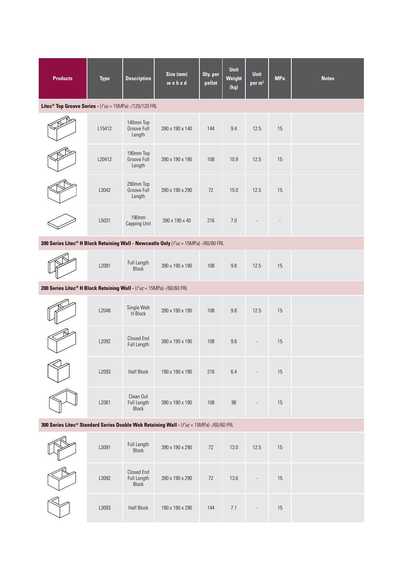| <b>Products</b>                                                                                      | <b>Type</b> | <b>Description</b>                        | Size (mm)<br>wxhxd | Oty. per<br>pallet | <b>Unit</b><br>Weight<br>(kg) | <b>Unit</b><br>per m <sup>2</sup> | <b>MPa</b> | <b>Notes</b> |
|------------------------------------------------------------------------------------------------------|-------------|-------------------------------------------|--------------------|--------------------|-------------------------------|-----------------------------------|------------|--------------|
| Litec <sup>®</sup> Top Groove Series - $(f'uc = 15MPa)$ -/120/120 FRL                                |             |                                           |                    |                    |                               |                                   |            |              |
|                                                                                                      | L15412      | 140mm Top<br>Groove Full<br>Length        | 390 x 190 x 140    | 144                | 9.4                           | 12.5                              | 15         |              |
|                                                                                                      | L20412      | 190mm Top<br>Groove Full<br>Length        | 390 x 190 x 190    | 108                | 10.9                          | 12.5                              | 15         |              |
|                                                                                                      | L3042       | 290mm Top<br>Groove Full<br>Length        | 390 x 190 x 290    | 72                 | 15.0                          | 12.5                              | 15         |              |
|                                                                                                      | L5031       | <b>190mm</b><br>Capping Unit              | 390 x 190 x 40     | 216                | $7.0$                         |                                   |            |              |
| 200 Series Litec® H Block Retaining Wall - Newcastle Only (f'uc = 15MPa) -/60/60 FRL                 |             |                                           |                    |                    |                               |                                   |            |              |
|                                                                                                      | L2091       | Full Length<br><b>Block</b>               | 390 x 190 x 190    | 108                | $9.8\,$                       | 12.5                              | 15         |              |
| 200 Series Litec <sup>®</sup> H Block Retaining Wall - ( $f'uc = 15MPa$ ) -/60/60 FRL                |             |                                           |                    |                    |                               |                                   |            |              |
|                                                                                                      | L2048       | Single Web<br>H Block                     | 390 x 190 x 190    | 108                | $9.8\,$                       | 12.5                              | 15         |              |
|                                                                                                      | L2092       | <b>Closed End</b><br>Full Length          | 390 x 190 x 190    | 108                | 9.6                           |                                   | 15         |              |
|                                                                                                      | L2093       | <b>Half Block</b>                         | 190 x 190 x 190    | 216                | $6.4\,$                       |                                   | 15         |              |
|                                                                                                      | L2061       | Clean Out<br>Full Length<br>Block         | 390 x 190 x 190    | 108                | $96\,$                        |                                   | 15         |              |
| 300 Series Litec <sup>®</sup> Standard Series Double Web Retaining Wall - (f'uc = 15MPa) -/60/60 FRL |             |                                           |                    |                    |                               |                                   |            |              |
|                                                                                                      | L3091       | Full Length<br>Block                      | 390 x 190 x 290    | 72                 | 13.0                          | 12.5                              | 15         |              |
|                                                                                                      | L3092       | Closed End<br>Full Length<br><b>Block</b> | 390 x 190 x 290    | $72\,$             | 13.6                          |                                   | 15         |              |
|                                                                                                      | L3093       | <b>Half Block</b>                         | 190 x 190 x 290    | 144                | 7.1                           |                                   | 15         |              |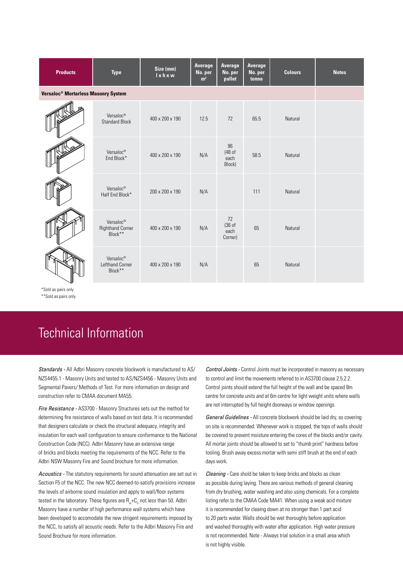| <b>Products</b>                                 | <b>Type</b>                                                 | Size (mm)<br>I x h x w | Average<br>No. per<br>m <sup>2</sup> | Average<br>No. per<br>pallet    | Average<br>No. per<br>tonne | <b>Colours</b> | <b>Notes</b> |
|-------------------------------------------------|-------------------------------------------------------------|------------------------|--------------------------------------|---------------------------------|-----------------------------|----------------|--------------|
| Versaloc <sup>®</sup> Mortarless Masonry System |                                                             |                        |                                      |                                 |                             |                |              |
|                                                 | Versaloc®<br><b>Standard Block</b>                          | 400 x 200 x 190        | 12.5                                 | 72                              | 65.5                        | Natural        |              |
|                                                 | Versaloc®<br>End Block*                                     | 400 x 200 x 190        | N/A                                  | 96<br>(48 of<br>each<br>Block)  | 58.5                        | Natural        |              |
|                                                 | Versaloc <sup>®</sup><br>Half End Block*                    | 200 x 200 x 190        | N/A                                  |                                 | 111                         | Natural        |              |
|                                                 | Versaloc <sup>®</sup><br><b>Righthand Corner</b><br>Block** | 400 x 200 x 190        | N/A                                  | 72<br>(36 of<br>each<br>Corner) | 65                          | Natural        |              |
|                                                 | Versaloc®<br>Lefthand Corner<br>Block**                     | 400 x 200 x 190        | N/A                                  |                                 | 65                          | Natural        |              |

\*Sold as pairs only \*\*Sold as pairs only

# Technical Information

*Standards -* All Adbri Masonry concrete blockwork is manufactured to AS/ NZS4455.1 - Masonry Units and tested to AS/NZS4456 - Masonry Units and Segmental Pavers/:Methods of Test. For more information on design and construction refer to CMAA document MA55.

*Fire Resistance -* AS3700 - Masonry Structures sets out the method for determining fire resistance of walls based on test data. It is recommended that designers calculate or check the structural adequacy, integrity and insulation for each wall configuration to ensure conformance to the National Construction Code (NCC). Adbri Masonry have an extensive range of bricks and blocks meeting the requirements of the NCC. Refer to the Adbri NSW Masonry Fire and Sound brochure for more information.

*Acoustics -* The statutory requirements for sound attenuation are set out in Section F5 of the NCC. The new NCC deemed-to-satisfy provisions increase the levels of airborne sound insulation and apply to wall/floor systems tested in the laboratory. These figures are  $R + C$  not less than 50. Adbri Masonry have a number of high performance wall systems which have been developed to accomodate the new strigent requirements imposed by the NCC, to satisfy all acoustic needs. Refer to the Adbri Masonry Fire and Sound Brochure for more information.

*Control Joints -* Control Joints must be incorporated in masonry as necessary to control and limit the movements referred to in AS3700 clause 2.5.2.2. Control joints should extend the full height of the wall and be spaced 8m centre for concrete units and at 6m centre for light weight units where walls are not interrupted by full height doorways or window openings.

*General Guidelines -* All concrete blockwork should be laid dry, so covering on site is recommended. Whenever work is stopped, the tops of walls should be covered to prevent moisture entering the cores of the blocks and/or cavity. All mortar joints should be allowed to set to "thumb print" hardness before tooling. Brush away excess mortar with semi stiff brush at the end of each days work.

*Cleaning -* Care shold be taken to keep bricks and blocks as clean as possible during laying. There are various methods of general cleaning from dry brushing, water washing and also using chemicals. For a complete listing refer to the CMAA Code MA41. When using a weak acid mixture it is recommended for cleaing down at no stronger than 1 part acid to 20 parts water. Walls should be wet thoroughly before application and washed thoroughly with water after application. High water pressure is not recommended. Note - Always trial solution in a small area which is not highly visible.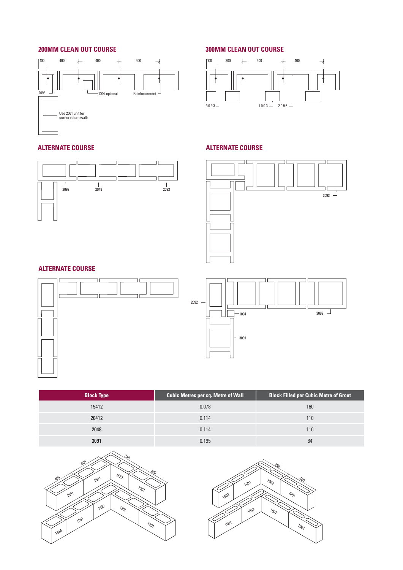# **200MM CLEAN OUT COURSE**



# **ALTERNATE COURSE**



# **300MM CLEAN OUT COURSE**



# **ALTERNATE COURSE**



# **ALTERNATE COURSE**





| <b>Block Type</b> | Cubic Metres per sq. Metre of Wall | <b>Block Filled per Cubic Metre of Grout</b> |
|-------------------|------------------------------------|----------------------------------------------|
| 15412             | 0.078                              | 160                                          |
| 20412             | 0.114                              | 110                                          |
| 2048              | 0.114                              | 110                                          |
| 3091              | 0.195                              | 64                                           |